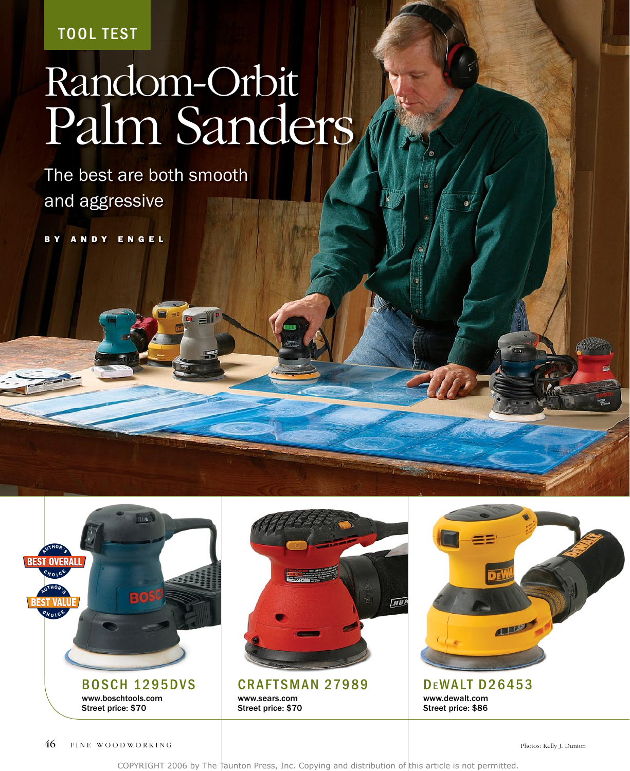**TOOL TEST** 

# Random-Orbit Palm Sanders

The best are both smooth and aggressive

B Y A N D Y E N G E L





**CRAFTSMAN 27989** www.sears.com Street price: \$70



**DEWALT D26453** www.dewalt.com Street price: \$86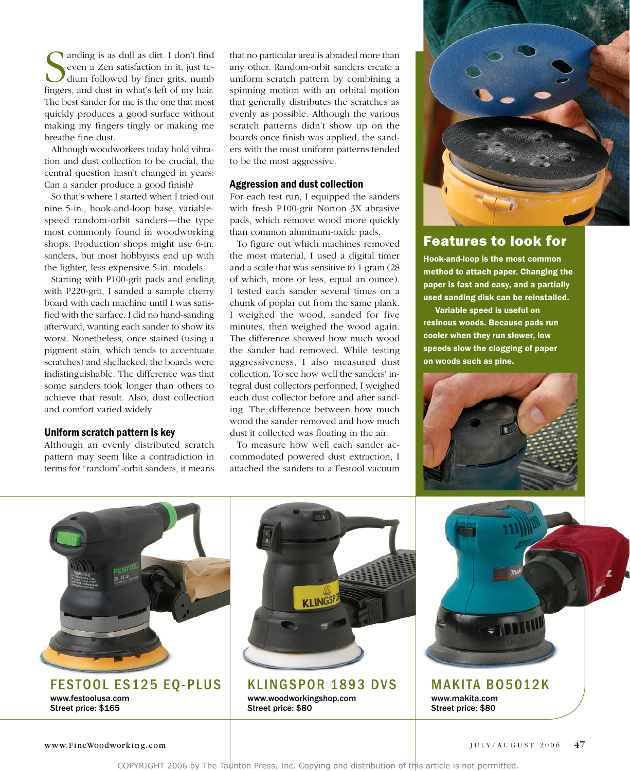**S** anding is as dull as dirt. I don't find even a Zen satisfaction in it, just te-<br>dium followed by finer grits, numb<br>fingers, and dust in what's left of my hair. anding is as dull as dirt. I don't find even a Zen satisfaction in it, just tedium followed by finer grits, numb The best sander for me is the one that most quickly produces a good surface without making my fingers tingly or making me breathe fine dust.

Although woodworkers today hold vibration and dust collection to be crucial, the central question hasn't changed in years: Can a sander produce a good finish?

So that's where I started when I tried out nine 5-in., hook-and-loop base, variablespeed random-orbit sanders—the type most commonly found in woodworking shops. Production shops might use 6-in. sanders, but most hobbyists end up with the lighter, less expensive 5-in. models.

Starting with P100-grit pads and ending with P220-grit, I sanded a sample cherry board with each machine until I was satisfied with the surface. I did no hand-sanding afterward, wanting each sander to show its worst. Nonetheless, once stained (using a pigment stain, which tends to accentuate scratches) and shellacked, the boards were indistinguishable. The difference was that some sanders took longer than others to achieve that result. Also, dust collection and comfort varied widely.

### Uniform scratch pattern is key

Although an evenly distributed scratch pattern may seem like a contradiction in terms for "random"-orbit sanders, it means

that no particular area is abraded more than any other. Random-orbit sanders create a uniform scratch pattern by combining a spinning motion with an orbital motion that generally distributes the scratches as evenly as possible. Although the various scratch patterns didn't show up on the boards once finish was applied, the sanders with the most uniform patterns tended to be the most aggressive.

#### Aggression and dust collection

For each test run, I equipped the sanders with fresh P100-grit Norton 3X abrasive pads, which remove wood more quickly than common aluminum-oxide pads.

To figure out which machines removed the most material, I used a digital timer and a scale that was sensitive to 1 gram (28 of which, more or less, equal an ounce). I tested each sander several times on a chunk of poplar cut from the same plank. I weighed the wood, sanded for five minutes, then weighed the wood again. The difference showed how much wood the sander had removed. While testing aggressiveness, I also measured dust collection. To see how well the sanders' integral dust collectors performed, I weighed each dust collector before and after sanding. The difference between how much wood the sander removed and how much dust it collected was floating in the air.

To measure how well each sander accommodated powered dust extraction, I attached the sanders to a Festool vacuum



## Features to look for

Hook-and-loop is the most common method to attach paper. Changing the paper is fast and easy, and a partially used sanding disk can be reinstalled.

Variable speed is useful on resinous woods. Because pads run cooler when they run slower, low speeds slow the clogging of paper on woods such as pine.





FESTOOL ES125 EQ-PLUS www.festoolusa.com Street price: \$165



**KLINGSPOR 1893 DVS** www.woodworkingshop.com Street price: \$80



**MAKITA B05012K** www.makita.com Street price: \$80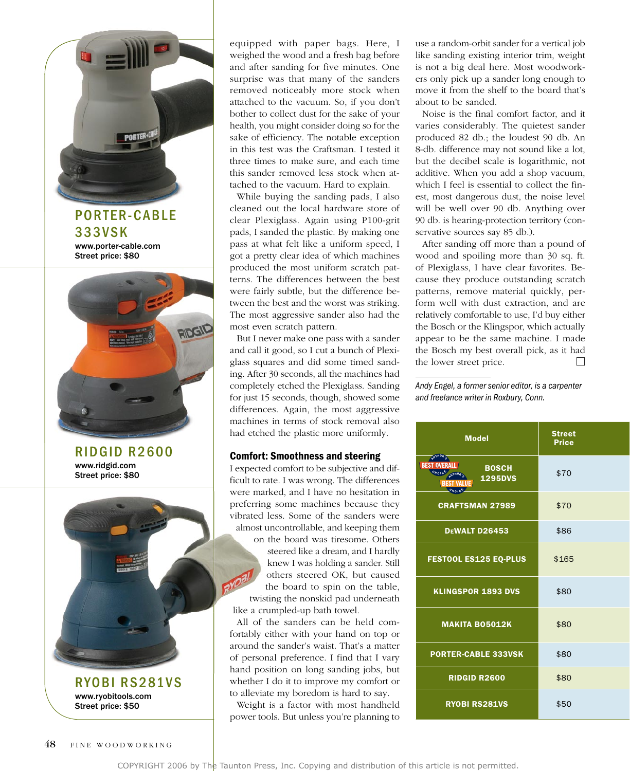

RYOBI RS281VS www.ryobitools.com Street price: \$50

equipped with paper bags. Here, I weighed the wood and a fresh bag before and after sanding for five minutes. One surprise was that many of the sanders removed noticeably more stock when attached to the vacuum. So, if you don't bother to collect dust for the sake of your health, you might consider doing so for the sake of efficiency. The notable exception in this test was the Craftsman. I tested it three times to make sure, and each time this sander removed less stock when attached to the vacuum. Hard to explain.

While buying the sanding pads, I also cleaned out the local hardware store of clear Plexiglass. Again using P100-grit pads, I sanded the plastic. By making one pass at what felt like a uniform speed, I got a pretty clear idea of which machines produced the most uniform scratch patterns. The differences between the best were fairly subtle, but the difference between the best and the worst was striking. The most aggressive sander also had the most even scratch pattern.

But I never make one pass with a sander and call it good, so I cut a bunch of Plexiglass squares and did some timed sanding. After 30 seconds, all the machines had completely etched the Plexiglass. Sanding for just 15 seconds, though, showed some differences. Again, the most aggressive machines in terms of stock removal also had etched the plastic more uniformly.

## Comfort: Smoothness and steering

I expected comfort to be subjective and difficult to rate. I was wrong. The differences were marked, and I have no hesitation in preferring some machines because they vibrated less. Some of the sanders were almost uncontrollable, and keeping them on the board was tiresome. Others steered like a dream, and I hardly knew I was holding a sander. Still others steered OK, but caused the board to spin on the table, twisting the nonskid pad underneath like a crumpled-up bath towel.

All of the sanders can be held comfortably either with your hand on top or around the sander's waist. That's a matter of personal preference. I find that I vary hand position on long sanding jobs, but whether I do it to improve my comfort or to alleviate my boredom is hard to say.

Weight is a factor with most handheld power tools. But unless you're planning to

use a random-orbit sander for a vertical job like sanding existing interior trim, weight is not a big deal here. Most woodworkers only pick up a sander long enough to move it from the shelf to the board that's about to be sanded.

Noise is the final comfort factor, and it varies considerably. The quietest sander produced 82 db.; the loudest 90 db. An 8-db. difference may not sound like a lot, but the decibel scale is logarithmic, not additive. When you add a shop vacuum, which I feel is essential to collect the finest, most dangerous dust, the noise level will be well over 90 db. Anything over 90 db. is hearing-protection territory (conservative sources say 85 db.).

After sanding off more than a pound of wood and spoiling more than 30 sq. ft. of Plexiglass, I have clear favorites. Because they produce outstanding scratch patterns, remove material quickly, perform well with dust extraction, and are relatively comfortable to use, I'd buy either the Bosch or the Klingspor, which actually appear to be the same machine. I made the Bosch my best overall pick, as it had the lower street price.

*Andy Engel, a former senior editor, is a carpenter and freelance writer in Roxbury, Conn.*

| <b>Model</b>                                             | <b>Street</b><br><b>Price</b> |  |
|----------------------------------------------------------|-------------------------------|--|
| <b>EST OVERALL BEST VALUE</b><br><b>BOSCH</b><br>1295DVS | \$70                          |  |
| <b>CRAFTSMAN 27989</b>                                   | \$70                          |  |
| DEWALT D26453                                            | \$86                          |  |
| <b>FESTOOL ES125 EQ-PLUS</b>                             | \$165                         |  |
| <b>KLINGSPOR 1893 DVS</b>                                | \$80                          |  |
| <b>MAKITA BO5012K</b>                                    | \$80                          |  |
| <b>PORTER-CABLE 333VSK</b>                               | \$80                          |  |
| <b>RIDGID R2600</b>                                      | \$80                          |  |
| <b>RYOBI RS281VS</b>                                     | \$50                          |  |